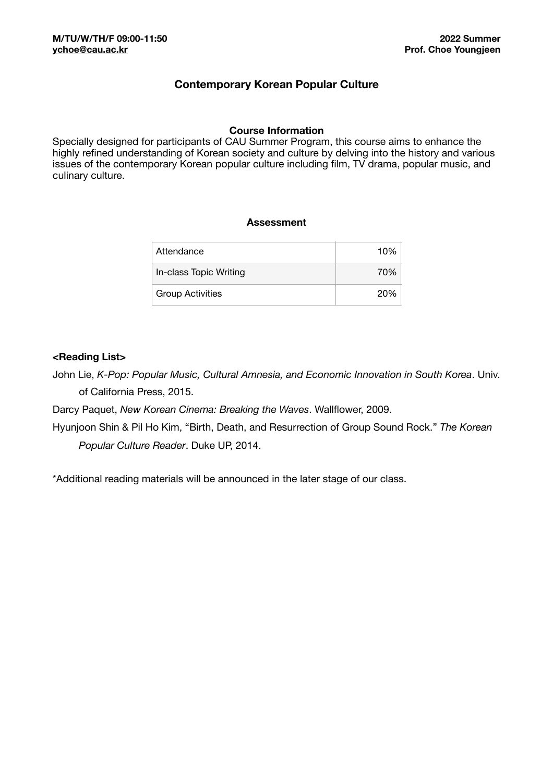## **Contemporary Korean Popular Culture**

#### **Course Information**

Specially designed for participants of CAU Summer Program, this course aims to enhance the highly refined understanding of Korean society and culture by delving into the history and various issues of the contemporary Korean popular culture including film, TV drama, popular music, and culinary culture.

#### **Assessment**

| Attendance              | 10% |
|-------------------------|-----|
| In-class Topic Writing  | 70% |
| <b>Group Activities</b> | 20% |

#### **<Reading List>**

John Lie, *K-Pop: Popular Music, Cultural Amnesia, and Economic Innovation in South Korea*. Univ. of California Press, 2015.

Darcy Paquet, *New Korean Cinema: Breaking the Waves*. Wallflower, 2009.

Hyunjoon Shin & Pil Ho Kim, "Birth, Death, and Resurrection of Group Sound Rock." *The Korean Popular Culture Reader*. Duke UP, 2014.

\*Additional reading materials will be announced in the later stage of our class.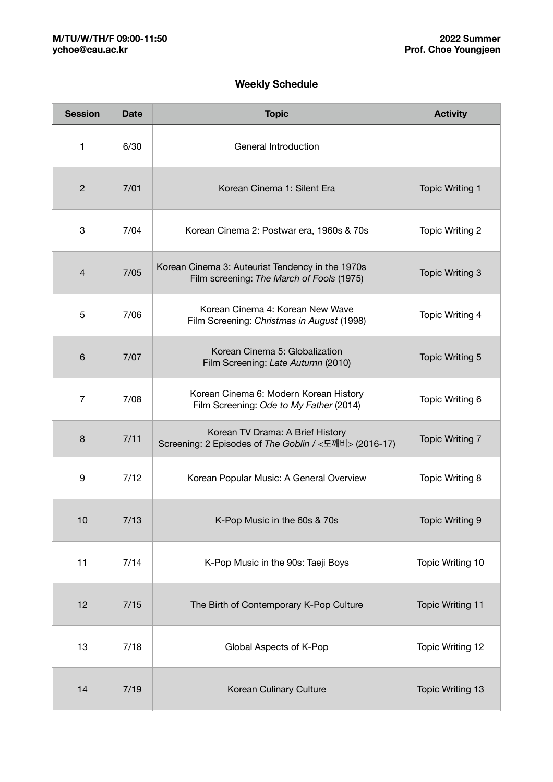# **Weekly Schedule**

| <b>Session</b> | <b>Date</b> | <b>Topic</b>                                                                                  | <b>Activity</b>         |
|----------------|-------------|-----------------------------------------------------------------------------------------------|-------------------------|
| 1              | 6/30        | General Introduction                                                                          |                         |
| $\overline{c}$ | 7/01        | Korean Cinema 1: Silent Era                                                                   | <b>Topic Writing 1</b>  |
| 3              | 7/04        | Korean Cinema 2: Postwar era, 1960s & 70s                                                     | Topic Writing 2         |
| $\overline{4}$ | 7/05        | Korean Cinema 3: Auteurist Tendency in the 1970s<br>Film screening: The March of Fools (1975) | <b>Topic Writing 3</b>  |
| 5              | 7/06        | Korean Cinema 4: Korean New Wave<br>Film Screening: Christmas in August (1998)                | Topic Writing 4         |
| 6              | 7/07        | Korean Cinema 5: Globalization<br>Film Screening: Late Autumn (2010)                          | <b>Topic Writing 5</b>  |
| $\overline{7}$ | 7/08        | Korean Cinema 6: Modern Korean History<br>Film Screening: Ode to My Father (2014)             | Topic Writing 6         |
| 8              | 7/11        | Korean TV Drama: A Brief History<br>Screening: 2 Episodes of The Goblin / <도깨비> (2016-17)     | <b>Topic Writing 7</b>  |
| 9              | 7/12        | Korean Popular Music: A General Overview                                                      | Topic Writing 8         |
| 10             | 7/13        | K-Pop Music in the 60s & 70s                                                                  | <b>Topic Writing 9</b>  |
| 11             | 7/14        | K-Pop Music in the 90s: Taeji Boys                                                            | Topic Writing 10        |
| 12             | 7/15        | The Birth of Contemporary K-Pop Culture                                                       | <b>Topic Writing 11</b> |
| 13             | 7/18        | Global Aspects of K-Pop                                                                       | Topic Writing 12        |
| 14             | 7/19        | Korean Culinary Culture                                                                       | Topic Writing 13        |